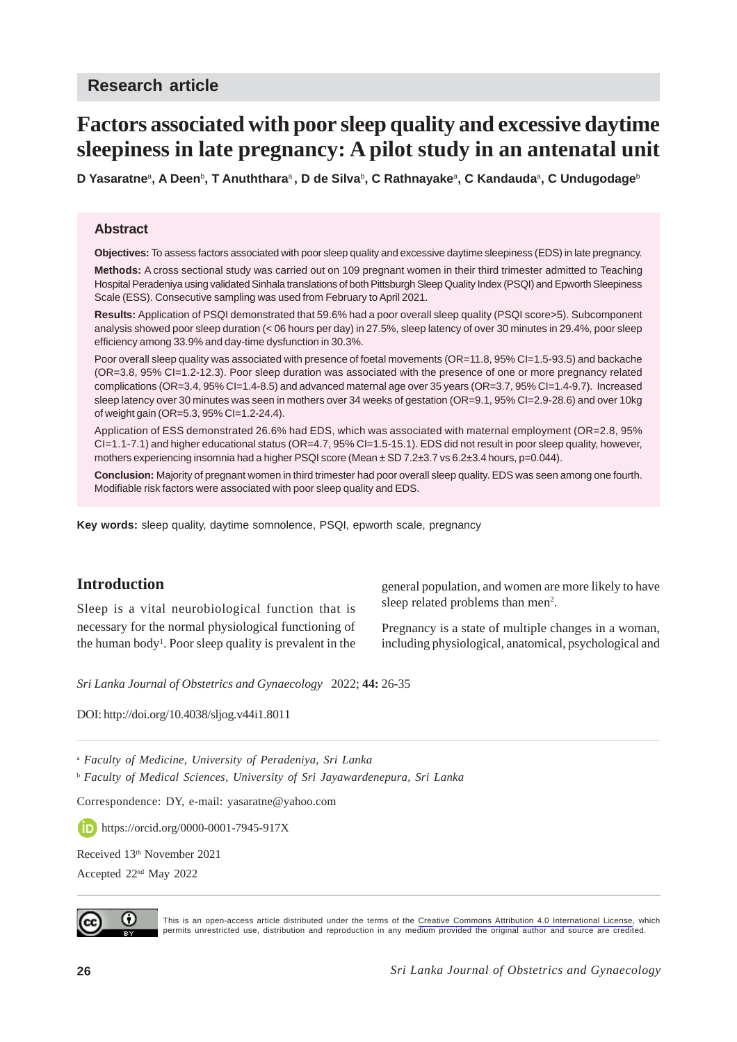# **Factors associated with poor sleep quality and excessive daytime sleepiness in late pregnancy: A pilot study in an antenatal unit**

**D Yasaratne**<sup>a</sup> **, A Deen**<sup>b</sup> **, T Anuththara**a **, D de Silva**<sup>b</sup> **, C Rathnayake**<sup>a</sup> **, C Kandauda**<sup>a</sup> **, C Undugodage**<sup>b</sup>

#### **Abstract**

**Objectives:** To assess factors associated with poor sleep quality and excessive daytime sleepiness (EDS) in late pregnancy.

**Methods:** A cross sectional study was carried out on 109 pregnant women in their third trimester admitted to Teaching Hospital Peradeniya using validated Sinhala translations of both Pittsburgh Sleep Quality Index (PSQI) and Epworth Sleepiness Scale (ESS). Consecutive sampling was used from February to April 2021.

**Results:** Application of PSQI demonstrated that 59.6% had a poor overall sleep quality (PSQI score>5). Subcomponent analysis showed poor sleep duration (< 06 hours per day) in 27.5%, sleep latency of over 30 minutes in 29.4%, poor sleep efficiency among 33.9% and day-time dysfunction in 30.3%.

Poor overall sleep quality was associated with presence of foetal movements (OR=11.8, 95% CI=1.5-93.5) and backache (OR=3.8, 95% CI=1.2-12.3). Poor sleep duration was associated with the presence of one or more pregnancy related complications (OR=3.4, 95% CI=1.4-8.5) and advanced maternal age over 35 years (OR=3.7, 95% CI=1.4-9.7). Increased sleep latency over 30 minutes was seen in mothers over 34 weeks of gestation (OR=9.1, 95% CI=2.9-28.6) and over 10kg of weight gain (OR=5.3, 95% CI=1.2-24.4).

Application of ESS demonstrated 26.6% had EDS, which was associated with maternal employment (OR=2.8, 95% CI=1.1-7.1) and higher educational status (OR=4.7, 95% CI=1.5-15.1). EDS did not result in poor sleep quality, however, mothers experiencing insomnia had a higher PSQI score (Mean  $\pm$  SD 7.2 $\pm$ 3.7 vs 6.2 $\pm$ 3.4 hours, p=0.044).

**Conclusion:** Majority of pregnant women in third trimester had poor overall sleep quality. EDS was seen among one fourth. Modifiable risk factors were associated with poor sleep quality and EDS.

**Key words:** sleep quality, daytime somnolence, PSQI, epworth scale, pregnancy

# **Introduction**

Sleep is a vital neurobiological function that is necessary for the normal physiological functioning of the human body<sup>1</sup>. Poor sleep quality is prevalent in the

general population, and women are more likely to have sleep related problems than men<sup>2</sup>.

Pregnancy is a state of multiple changes in a woman, including physiological, anatomical, psychological and

*Sri Lanka Journal of Obstetrics and Gynaecology* 2022; **44:** 26-35

DOI: http://doi.org/10.4038/sljog.v44i1.8011

<sup>a</sup> *Faculty of Medicine, University of Peradeniya, Sri Lanka*

<sup>b</sup> *Faculty of Medical Sciences, University of Sri Jayawardenepura, Sri Lanka*

Correspondence: DY, e-mail: yasaratne@yahoo.com

**https://orcid.org/0000-0001-7945-917X** 

Received 13<sup>th</sup> November 2021

Accepted 22nd May 2022



This is an open-access article distributed under the terms of the [Creative Commons Attribution 4.0 International License,](https://creativecommons.org/licenses/by/4.0/) which permits unrestricted use, distribution and reproduction in any medium provided the original author and source are credited.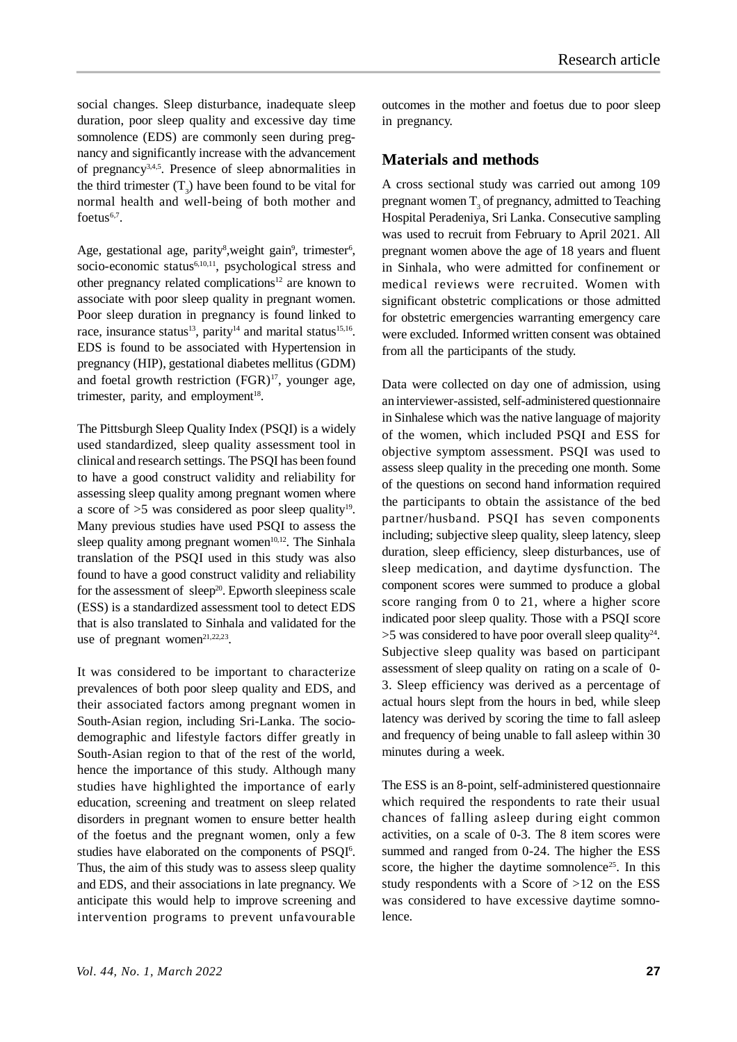social changes. Sleep disturbance, inadequate sleep duration, poor sleep quality and excessive day time somnolence (EDS) are commonly seen during pregnancy and significantly increase with the advancement of pregnancy<sup>3,4,5</sup>. Presence of sleep abnormalities in the third trimester  $(T_3)$  have been found to be vital for normal health and well-being of both mother and foetus $6,7$ .

Age, gestational age, parity<sup>8</sup>, weight gain<sup>9</sup>, trimester<sup>6</sup>, socio-economic status $6,10,11$ , psychological stress and other pregnancy related complications<sup>12</sup> are known to associate with poor sleep quality in pregnant women. Poor sleep duration in pregnancy is found linked to race, insurance status<sup>13</sup>, parity<sup>14</sup> and marital status<sup>15,16</sup>. EDS is found to be associated with Hypertension in pregnancy (HIP), gestational diabetes mellitus (GDM) and foetal growth restriction  $(FGR)^{17}$ , younger age, trimester, parity, and employment<sup>18</sup>.

The Pittsburgh Sleep Quality Index (PSQI) is a widely used standardized, sleep quality assessment tool in clinical and research settings. The PSQI has been found to have a good construct validity and reliability for assessing sleep quality among pregnant women where a score of  $>5$  was considered as poor sleep quality<sup>19</sup>. Many previous studies have used PSQI to assess the sleep quality among pregnant women $10,12$ . The Sinhala translation of the PSQI used in this study was also found to have a good construct validity and reliability for the assessment of  $sleep^{20}$ . Epworth sleepiness scale (ESS) is a standardized assessment tool to detect EDS that is also translated to Sinhala and validated for the use of pregnant women<sup>21,22,23</sup>.

It was considered to be important to characterize prevalences of both poor sleep quality and EDS, and their associated factors among pregnant women in South-Asian region, including Sri-Lanka. The sociodemographic and lifestyle factors differ greatly in South-Asian region to that of the rest of the world, hence the importance of this study. Although many studies have highlighted the importance of early education, screening and treatment on sleep related disorders in pregnant women to ensure better health of the foetus and the pregnant women, only a few studies have elaborated on the components of PSQI<sup>6</sup>. Thus, the aim of this study was to assess sleep quality and EDS, and their associations in late pregnancy. We anticipate this would help to improve screening and intervention programs to prevent unfavourable

#### **Materials and methods**

A cross sectional study was carried out among 109 pregnant women  $T_3$  of pregnancy, admitted to Teaching Hospital Peradeniya, Sri Lanka. Consecutive sampling was used to recruit from February to April 2021. All pregnant women above the age of 18 years and fluent in Sinhala, who were admitted for confinement or medical reviews were recruited. Women with significant obstetric complications or those admitted for obstetric emergencies warranting emergency care were excluded. Informed written consent was obtained from all the participants of the study.

Data were collected on day one of admission, using an interviewer-assisted, self-administered questionnaire in Sinhalese which was the native language of majority of the women, which included PSQI and ESS for objective symptom assessment. PSQI was used to assess sleep quality in the preceding one month. Some of the questions on second hand information required the participants to obtain the assistance of the bed partner/husband. PSQI has seven components including; subjective sleep quality, sleep latency, sleep duration, sleep efficiency, sleep disturbances, use of sleep medication, and daytime dysfunction. The component scores were summed to produce a global score ranging from 0 to 21, where a higher score indicated poor sleep quality. Those with a PSQI score  $>$ 5 was considered to have poor overall sleep quality $^{24}$ . Subjective sleep quality was based on participant assessment of sleep quality on rating on a scale of 0- 3. Sleep efficiency was derived as a percentage of actual hours slept from the hours in bed, while sleep latency was derived by scoring the time to fall asleep and frequency of being unable to fall asleep within 30 minutes during a week.

The ESS is an 8-point, self-administered questionnaire which required the respondents to rate their usual chances of falling asleep during eight common activities, on a scale of 0-3. The 8 item scores were summed and ranged from 0-24. The higher the ESS score, the higher the daytime somnolence<sup>25</sup>. In this study respondents with a Score of >12 on the ESS was considered to have excessive daytime somnolence.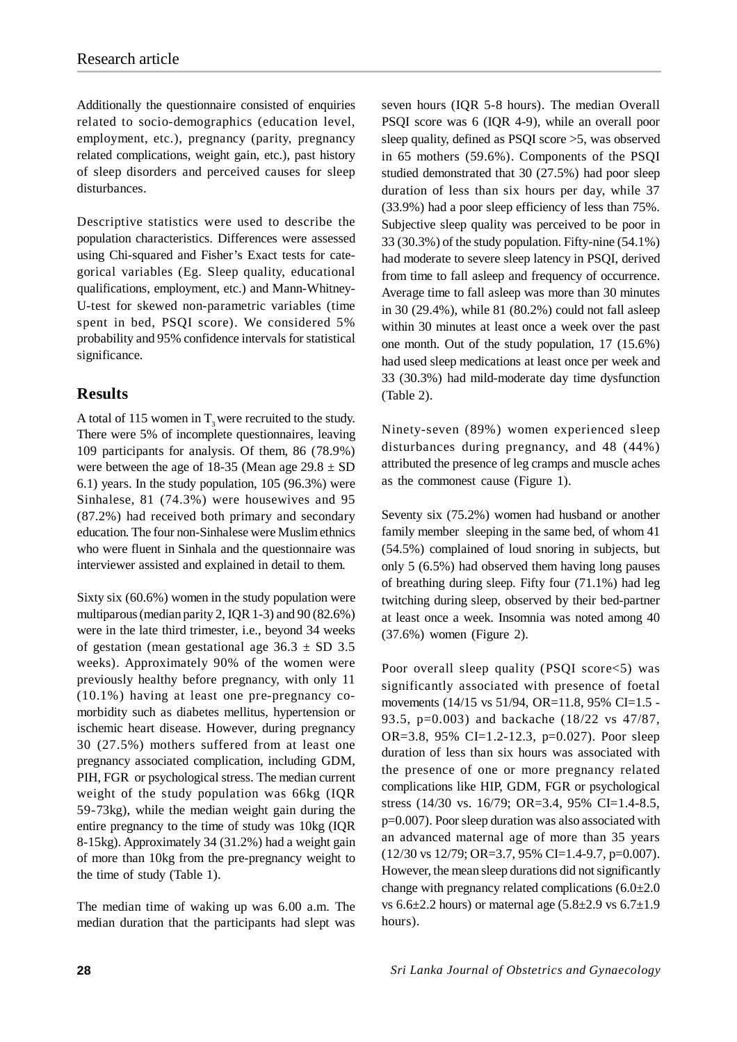Additionally the questionnaire consisted of enquiries related to socio-demographics (education level, employment, etc.), pregnancy (parity, pregnancy related complications, weight gain, etc.), past history of sleep disorders and perceived causes for sleep disturbances.

Descriptive statistics were used to describe the population characteristics. Differences were assessed using Chi-squared and Fisher's Exact tests for categorical variables (Eg. Sleep quality, educational qualifications, employment, etc.) and Mann-Whitney-U-test for skewed non-parametric variables (time spent in bed, PSQI score). We considered 5% probability and 95% confidence intervals for statistical significance.

## **Results**

A total of 115 women in  $T<sub>3</sub>$  were recruited to the study. There were 5% of incomplete questionnaires, leaving 109 participants for analysis. Of them, 86 (78.9%) were between the age of 18-35 (Mean age  $29.8 \pm SD$ 6.1) years. In the study population, 105 (96.3%) were Sinhalese, 81 (74.3%) were housewives and 95 (87.2%) had received both primary and secondary education. The four non-Sinhalese were Muslim ethnics who were fluent in Sinhala and the questionnaire was interviewer assisted and explained in detail to them.

Sixty six (60.6%) women in the study population were multiparous (median parity 2, IQR 1-3) and 90 (82.6%) were in the late third trimester, i.e., beyond 34 weeks of gestation (mean gestational age  $36.3 \pm SD$  3.5 weeks). Approximately 90% of the women were previously healthy before pregnancy, with only 11 (10.1%) having at least one pre-pregnancy comorbidity such as diabetes mellitus, hypertension or ischemic heart disease. However, during pregnancy 30 (27.5%) mothers suffered from at least one pregnancy associated complication, including GDM, PIH, FGR or psychological stress. The median current weight of the study population was 66kg (IQR 59-73kg), while the median weight gain during the entire pregnancy to the time of study was 10kg (IQR 8-15kg). Approximately 34 (31.2%) had a weight gain of more than 10kg from the pre-pregnancy weight to the time of study (Table 1).

The median time of waking up was 6.00 a.m. The median duration that the participants had slept was seven hours (IQR 5-8 hours). The median Overall PSQI score was 6 (IQR 4-9), while an overall poor sleep quality, defined as PSQI score >5, was observed in 65 mothers (59.6%). Components of the PSQI studied demonstrated that 30 (27.5%) had poor sleep duration of less than six hours per day, while 37 (33.9%) had a poor sleep efficiency of less than 75%. Subjective sleep quality was perceived to be poor in 33 (30.3%) of the study population. Fifty-nine (54.1%) had moderate to severe sleep latency in PSQI, derived from time to fall asleep and frequency of occurrence. Average time to fall asleep was more than 30 minutes in 30 (29.4%), while 81 (80.2%) could not fall asleep within 30 minutes at least once a week over the past one month. Out of the study population, 17 (15.6%) had used sleep medications at least once per week and 33 (30.3%) had mild-moderate day time dysfunction (Table 2).

Ninety-seven (89%) women experienced sleep disturbances during pregnancy, and 48 (44%) attributed the presence of leg cramps and muscle aches as the commonest cause (Figure 1).

Seventy six (75.2%) women had husband or another family member sleeping in the same bed, of whom 41 (54.5%) complained of loud snoring in subjects, but only 5 (6.5%) had observed them having long pauses of breathing during sleep. Fifty four (71.1%) had leg twitching during sleep, observed by their bed-partner at least once a week. Insomnia was noted among 40 (37.6%) women (Figure 2).

Poor overall sleep quality (PSQI score<5) was significantly associated with presence of foetal movements (14/15 vs 51/94, OR=11.8, 95% CI=1.5 -93.5, p=0.003) and backache (18/22 vs 47/87, OR=3.8, 95% CI=1.2-12.3, p=0.027). Poor sleep duration of less than six hours was associated with the presence of one or more pregnancy related complications like HIP, GDM, FGR or psychological stress (14/30 vs. 16/79; OR=3.4, 95% CI=1.4-8.5, p=0.007). Poor sleep duration was also associated with an advanced maternal age of more than 35 years (12/30 vs 12/79; OR=3.7, 95% CI=1.4-9.7, p=0.007). However, the mean sleep durations did not significantly change with pregnancy related complications  $(6.0\pm2.0$ vs  $6.6\pm2.2$  hours) or maternal age  $(5.8\pm2.9 \text{ vs } 6.7\pm1.9)$ hours).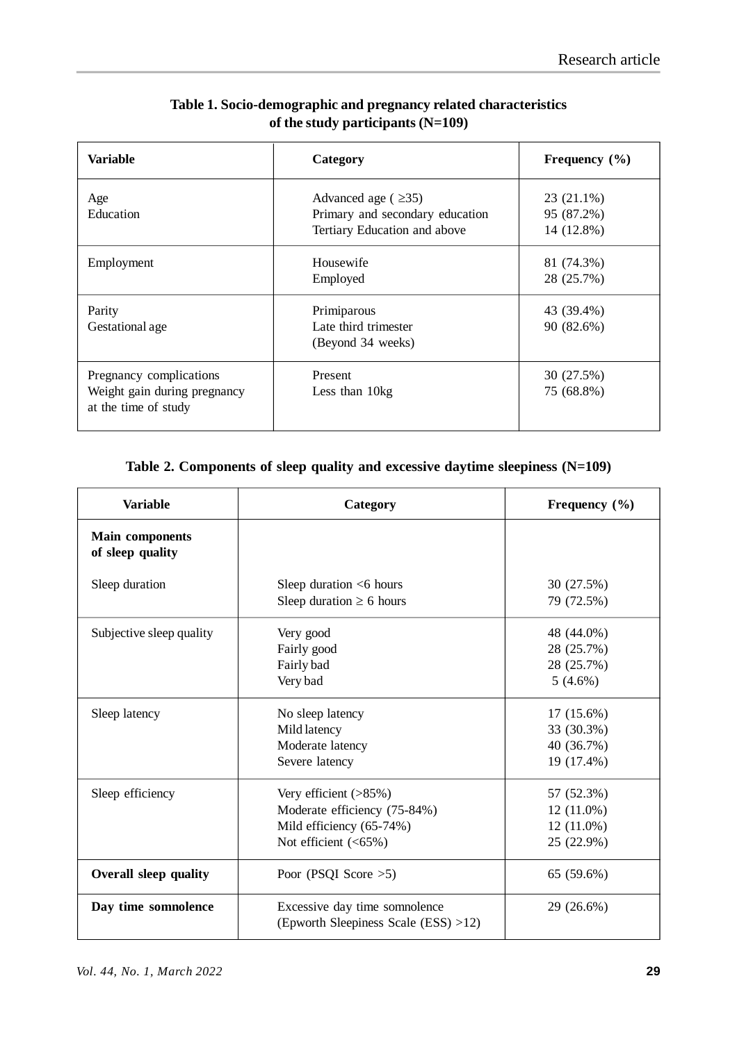| Variable                                                                        | Category                                                                                     | Frequency $(\% )$                      |  |
|---------------------------------------------------------------------------------|----------------------------------------------------------------------------------------------|----------------------------------------|--|
| Age<br>Education                                                                | Advanced age ( $\geq$ 35)<br>Primary and secondary education<br>Tertiary Education and above | 23 (21.1%)<br>95 (87.2%)<br>14 (12.8%) |  |
| Employment                                                                      | Housewife<br>Employed                                                                        | 81 (74.3%)<br>28 (25.7%)               |  |
| Parity<br>Gestational age                                                       | Primiparous<br>Late third trimester<br>(Beyond 34 weeks)                                     | 43 (39.4%)<br>90 (82.6%)               |  |
| Pregnancy complications<br>Weight gain during pregnancy<br>at the time of study | Present<br>Less than 10kg                                                                    | 30 (27.5%)<br>75 (68.8%)               |  |

## **Table 1. Socio-demographic and pregnancy related characteristics of the study participants (N=109)**

# **Table 2. Components of sleep quality and excessive daytime sleepiness (N=109)**

| <b>Variable</b>                            | Category                                                                                                        | Frequency (%)                                            |  |  |
|--------------------------------------------|-----------------------------------------------------------------------------------------------------------------|----------------------------------------------------------|--|--|
| <b>Main components</b><br>of sleep quality |                                                                                                                 |                                                          |  |  |
| Sleep duration                             | Sleep duration $<$ 6 hours<br>Sleep duration $\geq 6$ hours                                                     | 30 (27.5%)<br>79 (72.5%)                                 |  |  |
| Subjective sleep quality                   | Very good<br>Fairly good<br>Fairly bad<br>Very bad                                                              | 48 (44.0%)<br>28 (25.7%)<br>28 (25.7%)<br>$5(4.6\%)$     |  |  |
| Sleep latency                              | No sleep latency<br>Mild latency<br>Moderate latency<br>Severe latency                                          | $17(15.6\%)$<br>33 (30.3%)<br>40 (36.7%)<br>19 (17.4%)   |  |  |
| Sleep efficiency                           | Very efficient $($ >85%)<br>Moderate efficiency (75-84%)<br>Mild efficiency (65-74%)<br>Not efficient $(<65\%)$ | 57 (52.3%)<br>$12(11.0\%)$<br>$12(11.0\%)$<br>25 (22.9%) |  |  |
| <b>Overall sleep quality</b>               | Poor (PSQI Score $>5$ )                                                                                         | 65 (59.6%)                                               |  |  |
| Day time somnolence                        | Excessive day time somnolence<br>29 (26.6%)<br>(Epworth Sleepiness Scale $(ESS) > 12$ )                         |                                                          |  |  |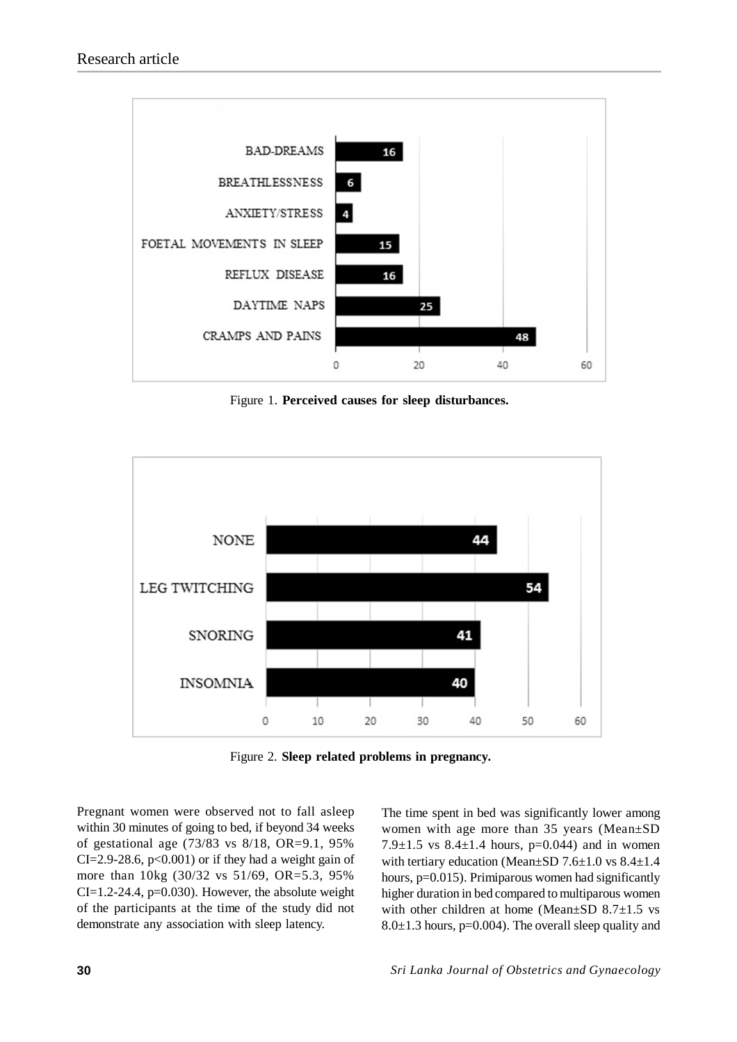

Figure 1. **Perceived causes for sleep disturbances.**



Figure 2. **Sleep related problems in pregnancy.**

Pregnant women were observed not to fall asleep within 30 minutes of going to bed, if beyond 34 weeks of gestational age (73/83 vs 8/18, OR=9.1, 95%  $CI = 2.9 - 28.6$ ,  $p < 0.001$  or if they had a weight gain of more than 10kg (30/32 vs 51/69, OR=5.3, 95%  $CI=1.2-24.4$ ,  $p=0.030$ . However, the absolute weight of the participants at the time of the study did not demonstrate any association with sleep latency.

The time spent in bed was significantly lower among women with age more than 35 years (Mean±SD 7.9 $\pm$ 1.5 vs 8.4 $\pm$ 1.4 hours, p=0.044) and in women with tertiary education (Mean±SD 7.6±1.0 vs 8.4±1.4 hours, p=0.015). Primiparous women had significantly higher duration in bed compared to multiparous women with other children at home (Mean $\pm$ SD 8.7 $\pm$ 1.5 vs 8.0 $\pm$ 1.3 hours, p=0.004). The overall sleep quality and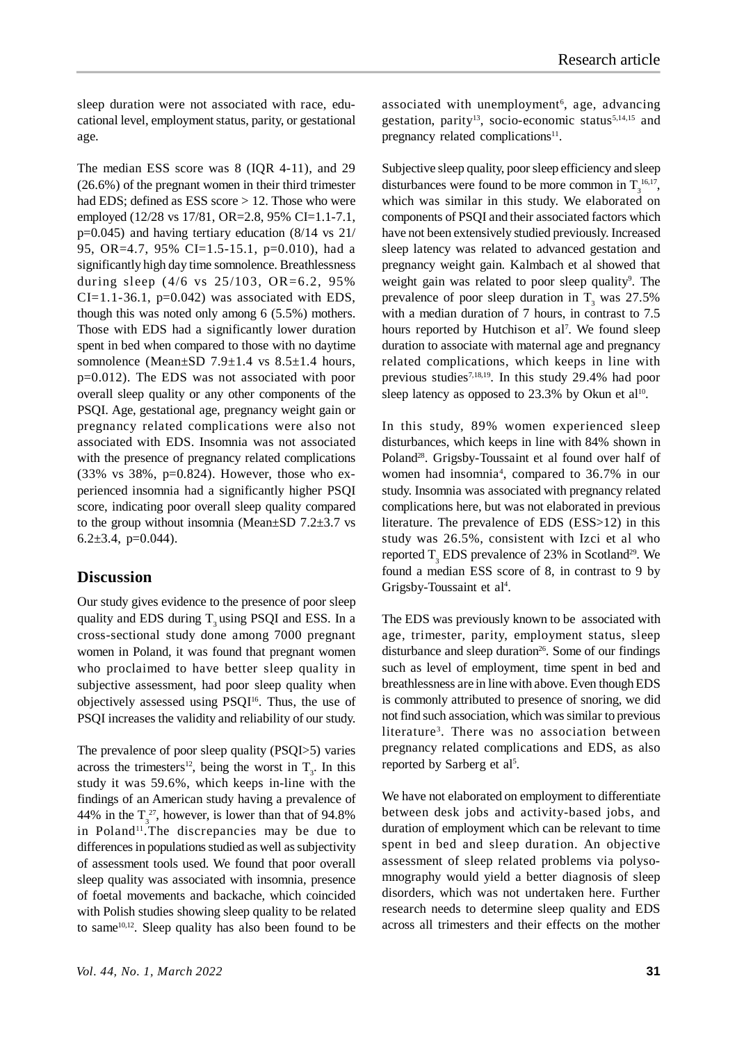sleep duration were not associated with race, educational level, employment status, parity, or gestational age.

The median ESS score was 8 (IQR 4-11), and 29 (26.6%) of the pregnant women in their third trimester had EDS; defined as ESS score > 12. Those who were employed (12/28 vs 17/81, OR=2.8, 95% CI=1.1-7.1, p=0.045) and having tertiary education (8/14 vs 21/ 95, OR=4.7, 95% CI=1.5-15.1, p=0.010), had a significantly high day time somnolence. Breathlessness during sleep (4/6 vs 25/103, OR=6.2, 95%  $CI=1.1-36.1$ ,  $p=0.042$ ) was associated with EDS, though this was noted only among 6 (5.5%) mothers. Those with EDS had a significantly lower duration spent in bed when compared to those with no daytime somnolence (Mean $\pm$ SD 7.9 $\pm$ 1.4 vs 8.5 $\pm$ 1.4 hours, p=0.012). The EDS was not associated with poor overall sleep quality or any other components of the PSQI. Age, gestational age, pregnancy weight gain or pregnancy related complications were also not associated with EDS. Insomnia was not associated with the presence of pregnancy related complications (33% vs 38%, p=0.824). However, those who experienced insomnia had a significantly higher PSQI score, indicating poor overall sleep quality compared to the group without insomnia (Mean $\pm$ SD 7.2 $\pm$ 3.7 vs 6.2 $\pm$ 3.4, p=0.044).

#### **Discussion**

Our study gives evidence to the presence of poor sleep quality and EDS during  $T_3$  using PSQI and ESS. In a cross-sectional study done among 7000 pregnant women in Poland, it was found that pregnant women who proclaimed to have better sleep quality in subjective assessment, had poor sleep quality when objectively assessed using  $PSOI<sup>16</sup>$ . Thus, the use of PSQI increases the validity and reliability of our study.

The prevalence of poor sleep quality (PSQI>5) varies across the trimesters<sup>12</sup>, being the worst in  $T_3$ . In this study it was 59.6%, which keeps in-line with the findings of an American study having a prevalence of 44% in the  $T_3^2$ , however, is lower than that of 94.8% in Poland<sup>11</sup>. The discrepancies may be due to differences in populations studied as well as subjectivity of assessment tools used. We found that poor overall sleep quality was associated with insomnia, presence of foetal movements and backache, which coincided with Polish studies showing sleep quality to be related to same $10,12$ . Sleep quality has also been found to be

associated with unemployment<sup>6</sup>, age, advancing gestation, parity<sup>13</sup>, socio-economic status<sup>5,14,15</sup> and pregnancy related complications<sup>11</sup>.

Subjective sleep quality, poor sleep efficiency and sleep disturbances were found to be more common in  $T_3^{16,17}$ , which was similar in this study. We elaborated on components of PSQI and their associated factors which have not been extensively studied previously. Increased sleep latency was related to advanced gestation and pregnancy weight gain. Kalmbach et al showed that weight gain was related to poor sleep quality<sup>9</sup>. The prevalence of poor sleep duration in  $T_3$  was 27.5% with a median duration of 7 hours, in contrast to 7.5 hours reported by Hutchison et al<sup>7</sup>. We found sleep duration to associate with maternal age and pregnancy related complications, which keeps in line with previous studies7,18,19. In this study 29.4% had poor sleep latency as opposed to  $23.3\%$  by Okun et al<sup>10</sup>.

In this study, 89% women experienced sleep disturbances, which keeps in line with 84% shown in Poland<sup>28</sup>. Grigsby-Toussaint et al found over half of women had insomnia<sup>4</sup>, compared to 36.7% in our study. Insomnia was associated with pregnancy related complications here, but was not elaborated in previous literature. The prevalence of EDS (ESS>12) in this study was 26.5%, consistent with Izci et al who reported  $T_3$  EDS prevalence of 23% in Scotland<sup>29</sup>. We found a median ESS score of 8, in contrast to 9 by Grigsby-Toussaint et al<sup>4</sup>.

The EDS was previously known to be associated with age, trimester, parity, employment status, sleep disturbance and sleep duration<sup>26</sup>. Some of our findings such as level of employment, time spent in bed and breathlessness are in line with above. Even though EDS is commonly attributed to presence of snoring, we did not find such association, which was similar to previous literature<sup>3</sup>. There was no association between pregnancy related complications and EDS, as also reported by Sarberg et al<sup>5</sup>.

We have not elaborated on employment to differentiate between desk jobs and activity-based jobs, and duration of employment which can be relevant to time spent in bed and sleep duration. An objective assessment of sleep related problems via polysomnography would yield a better diagnosis of sleep disorders, which was not undertaken here. Further research needs to determine sleep quality and EDS across all trimesters and their effects on the mother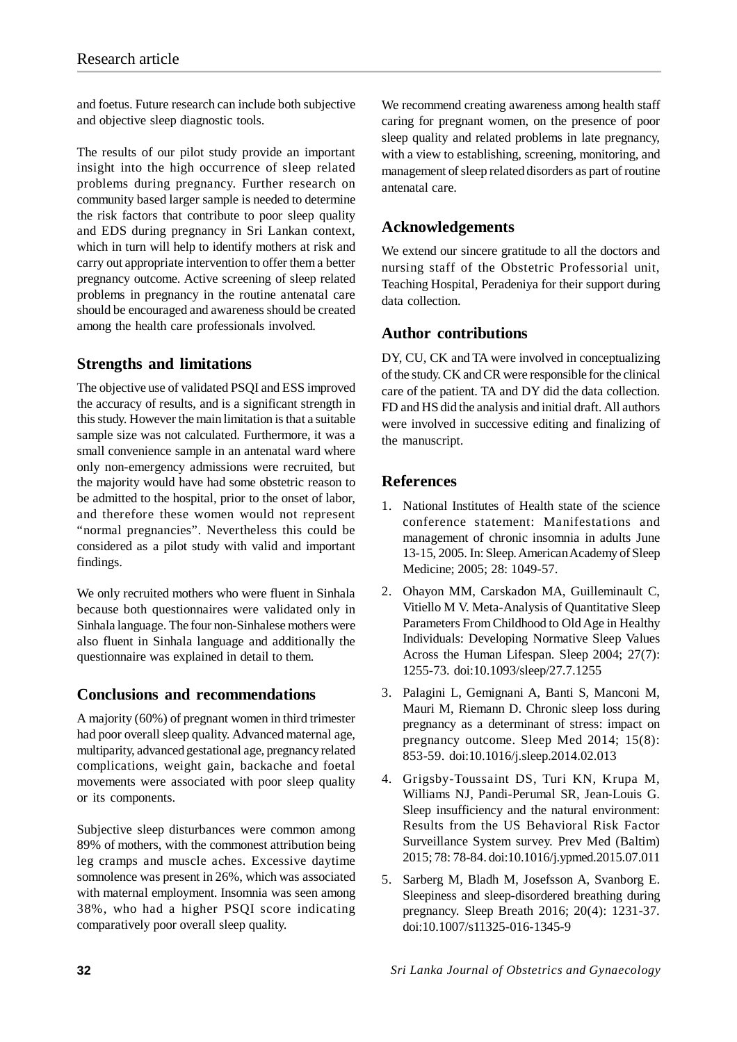and foetus. Future research can include both subjective and objective sleep diagnostic tools.

The results of our pilot study provide an important insight into the high occurrence of sleep related problems during pregnancy. Further research on community based larger sample is needed to determine the risk factors that contribute to poor sleep quality and EDS during pregnancy in Sri Lankan context, which in turn will help to identify mothers at risk and carry out appropriate intervention to offer them a better pregnancy outcome. Active screening of sleep related problems in pregnancy in the routine antenatal care should be encouraged and awareness should be created among the health care professionals involved.

## **Strengths and limitations**

The objective use of validated PSQI and ESS improved the accuracy of results, and is a significant strength in this study. However the main limitation is that a suitable sample size was not calculated. Furthermore, it was a small convenience sample in an antenatal ward where only non-emergency admissions were recruited, but the majority would have had some obstetric reason to be admitted to the hospital, prior to the onset of labor, and therefore these women would not represent "normal pregnancies". Nevertheless this could be considered as a pilot study with valid and important findings.

We only recruited mothers who were fluent in Sinhala because both questionnaires were validated only in Sinhala language. The four non-Sinhalese mothers were also fluent in Sinhala language and additionally the questionnaire was explained in detail to them.

# **Conclusions and recommendations**

A majority (60%) of pregnant women in third trimester had poor overall sleep quality. Advanced maternal age, multiparity, advanced gestational age, pregnancy related complications, weight gain, backache and foetal movements were associated with poor sleep quality or its components.

Subjective sleep disturbances were common among 89% of mothers, with the commonest attribution being leg cramps and muscle aches. Excessive daytime somnolence was present in 26%, which was associated with maternal employment. Insomnia was seen among 38%, who had a higher PSQI score indicating comparatively poor overall sleep quality.

We recommend creating awareness among health staff caring for pregnant women, on the presence of poor sleep quality and related problems in late pregnancy, with a view to establishing, screening, monitoring, and management of sleep related disorders as part of routine antenatal care.

# **Acknowledgements**

We extend our sincere gratitude to all the doctors and nursing staff of the Obstetric Professorial unit, Teaching Hospital, Peradeniya for their support during data collection.

# **Author contributions**

DY, CU, CK and TA were involved in conceptualizing of the study. CK and CR were responsible for the clinical care of the patient. TA and DY did the data collection. FD and HS did the analysis and initial draft. All authors were involved in successive editing and finalizing of the manuscript.

## **References**

- 1. National Institutes of Health state of the science conference statement: Manifestations and management of chronic insomnia in adults June 13-15, 2005. In: Sleep. American Academy of Sleep Medicine; 2005; 28: 1049-57.
- 2. Ohayon MM, Carskadon MA, Guilleminault C, Vitiello M V. Meta-Analysis of Quantitative Sleep Parameters From Childhood to Old Age in Healthy Individuals: Developing Normative Sleep Values Across the Human Lifespan. Sleep 2004; 27(7): 1255-73. doi:10.1093/sleep/27.7.1255
- 3. Palagini L, Gemignani A, Banti S, Manconi M, Mauri M, Riemann D. Chronic sleep loss during pregnancy as a determinant of stress: impact on pregnancy outcome. Sleep Med 2014; 15(8): 853-59. doi:10.1016/j.sleep.2014.02.013
- 4. Grigsby-Toussaint DS, Turi KN, Krupa M, Williams NJ, Pandi-Perumal SR, Jean-Louis G. Sleep insufficiency and the natural environment: Results from the US Behavioral Risk Factor Surveillance System survey. Prev Med (Baltim) 2015; 78: 78-84. doi:10.1016/j.ypmed.2015.07.011
- 5. Sarberg M, Bladh M, Josefsson A, Svanborg E. Sleepiness and sleep-disordered breathing during pregnancy. Sleep Breath 2016; 20(4): 1231-37. doi:10.1007/s11325-016-1345-9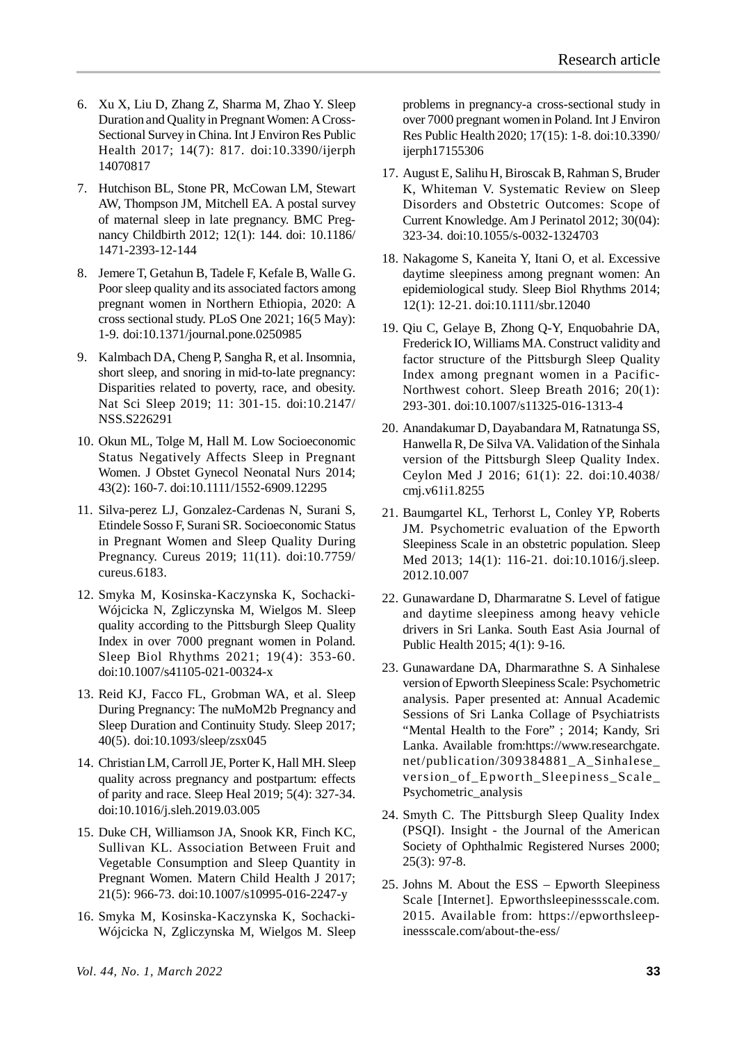- 6. Xu X, Liu D, Zhang Z, Sharma M, Zhao Y. Sleep Duration and Quality in Pregnant Women: A Cross-Sectional Survey in China. Int J Environ Res Public Health 2017; 14(7): 817. doi:10.3390/ijerph 14070817
- 7. Hutchison BL, Stone PR, McCowan LM, Stewart AW, Thompson JM, Mitchell EA. A postal survey of maternal sleep in late pregnancy. BMC Pregnancy Childbirth 2012; 12(1): 144. doi: 10.1186/ 1471-2393-12-144
- 8. Jemere T, Getahun B, Tadele F, Kefale B, Walle G. Poor sleep quality and its associated factors among pregnant women in Northern Ethiopia, 2020: A cross sectional study. PLoS One 2021; 16(5 May): 1-9. doi:10.1371/journal.pone.0250985
- 9. Kalmbach DA, Cheng P, Sangha R, et al. Insomnia, short sleep, and snoring in mid-to-late pregnancy: Disparities related to poverty, race, and obesity. Nat Sci Sleep 2019; 11: 301-15. doi:10.2147/ NSS.S226291
- 10. Okun ML, Tolge M, Hall M. Low Socioeconomic Status Negatively Affects Sleep in Pregnant Women. J Obstet Gynecol Neonatal Nurs 2014; 43(2): 160-7. doi:10.1111/1552-6909.12295
- 11. Silva-perez LJ, Gonzalez-Cardenas N, Surani S, Etindele Sosso F, Surani SR. Socioeconomic Status in Pregnant Women and Sleep Quality During Pregnancy. Cureus 2019; 11(11). doi:10.7759/ cureus.6183.
- 12. Smyka M, Kosinska-Kaczynska K, Sochacki-Wójcicka N, Zgliczynska M, Wielgos M. Sleep quality according to the Pittsburgh Sleep Quality Index in over 7000 pregnant women in Poland. Sleep Biol Rhythms 2021; 19(4): 353-60. doi:10.1007/s41105-021-00324-x
- 13. Reid KJ, Facco FL, Grobman WA, et al. Sleep During Pregnancy: The nuMoM2b Pregnancy and Sleep Duration and Continuity Study. Sleep 2017; 40(5). doi:10.1093/sleep/zsx045
- 14. Christian LM, Carroll JE, Porter K, Hall MH. Sleep quality across pregnancy and postpartum: effects of parity and race. Sleep Heal 2019; 5(4): 327-34. doi:10.1016/j.sleh.2019.03.005
- 15. Duke CH, Williamson JA, Snook KR, Finch KC, Sullivan KL. Association Between Fruit and Vegetable Consumption and Sleep Quantity in Pregnant Women. Matern Child Health J 2017; 21(5): 966-73. doi:10.1007/s10995-016-2247-y
- 16. Smyka M, Kosinska-Kaczynska K, Sochacki-Wójcicka N, Zgliczynska M, Wielgos M. Sleep

problems in pregnancy-a cross-sectional study in over 7000 pregnant women in Poland. Int J Environ Res Public Health 2020; 17(15): 1-8. doi:10.3390/ ijerph17155306

- 17. August E, Salihu H, Biroscak B, Rahman S, Bruder K, Whiteman V. Systematic Review on Sleep Disorders and Obstetric Outcomes: Scope of Current Knowledge. Am J Perinatol 2012; 30(04): 323-34. doi:10.1055/s-0032-1324703
- 18. Nakagome S, Kaneita Y, Itani O, et al. Excessive daytime sleepiness among pregnant women: An epidemiological study. Sleep Biol Rhythms 2014; 12(1): 12-21. doi:10.1111/sbr.12040
- 19. Qiu C, Gelaye B, Zhong Q-Y, Enquobahrie DA, Frederick IO, Williams MA. Construct validity and factor structure of the Pittsburgh Sleep Quality Index among pregnant women in a Pacific-Northwest cohort. Sleep Breath 2016; 20(1): 293-301. doi:10.1007/s11325-016-1313-4
- 20. Anandakumar D, Dayabandara M, Ratnatunga SS, Hanwella R, De Silva VA. Validation of the Sinhala version of the Pittsburgh Sleep Quality Index. Ceylon Med J 2016; 61(1): 22. doi:10.4038/ cmj.v61i1.8255
- 21. Baumgartel KL, Terhorst L, Conley YP, Roberts JM. Psychometric evaluation of the Epworth Sleepiness Scale in an obstetric population. Sleep Med 2013; 14(1): 116-21. doi:10.1016/j.sleep. 2012.10.007
- 22. Gunawardane D, Dharmaratne S. Level of fatigue and daytime sleepiness among heavy vehicle drivers in Sri Lanka. South East Asia Journal of Public Health 2015; 4(1): 9-16.
- 23. Gunawardane DA, Dharmarathne S. A Sinhalese version of Epworth Sleepiness Scale: Psychometric analysis. Paper presented at: Annual Academic Sessions of Sri Lanka Collage of Psychiatrists "Mental Health to the Fore" ; 2014; Kandy, Sri Lanka. Available from:https://www.researchgate. net/publication/309384881\_A\_Sinhalese\_ version\_of\_Epworth\_Sleepiness\_Scale\_ Psychometric\_analysis
- 24. Smyth C. The Pittsburgh Sleep Quality Index (PSQI). Insight - the Journal of the American Society of Ophthalmic Registered Nurses 2000; 25(3): 97-8.
- 25. Johns M. About the ESS Epworth Sleepiness Scale [Internet]. Epworthsleepinessscale.com. 2015. Available from: https://epworthsleepinessscale.com/about-the-ess/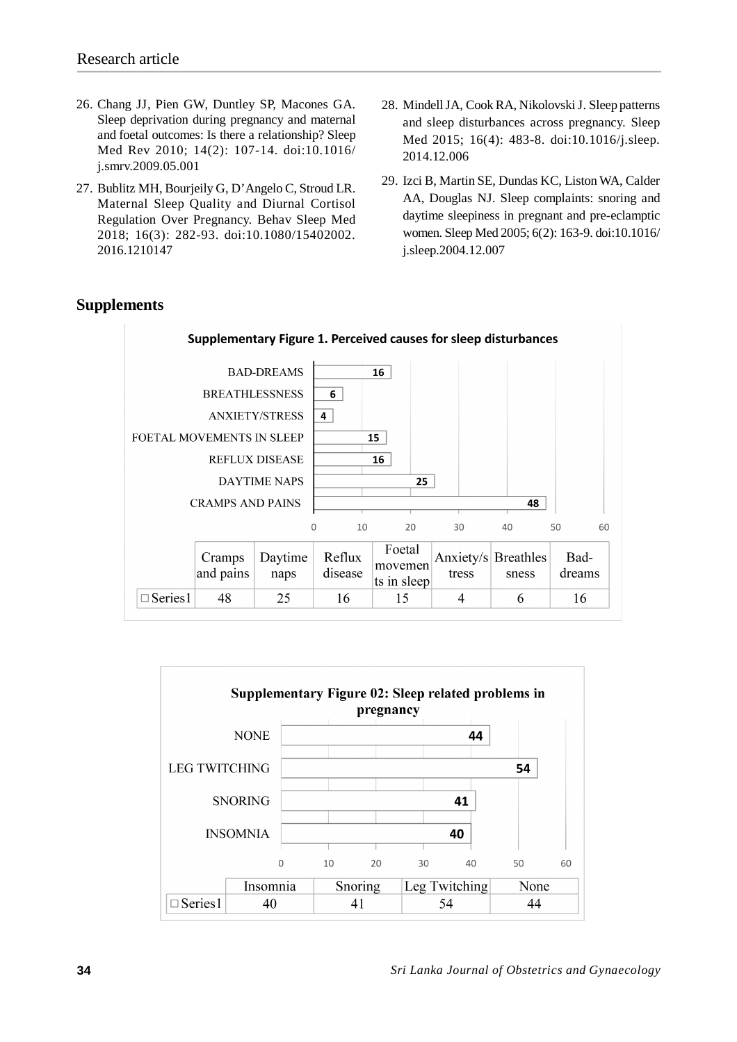- 26. Chang JJ, Pien GW, Duntley SP, Macones GA. Sleep deprivation during pregnancy and maternal and foetal outcomes: Is there a relationship? Sleep Med Rev 2010; 14(2): 107-14. doi:10.1016/ j.smrv.2009.05.001
- 27. Bublitz MH, Bourjeily G, D'Angelo C, Stroud LR. Maternal Sleep Quality and Diurnal Cortisol Regulation Over Pregnancy. Behav Sleep Med 2018; 16(3): 282-93. doi:10.1080/15402002. 2016.1210147
- 28. Mindell JA, Cook RA, Nikolovski J. Sleep patterns and sleep disturbances across pregnancy. Sleep Med 2015; 16(4): 483-8. doi:10.1016/j.sleep. 2014.12.006
- 29. Izci B, Martin SE, Dundas KC, Liston WA, Calder AA, Douglas NJ. Sleep complaints: snoring and daytime sleepiness in pregnant and pre-eclamptic women. Sleep Med 2005; 6(2): 163-9. doi:10.1016/ j.sleep.2004.12.007

## **Supplements**